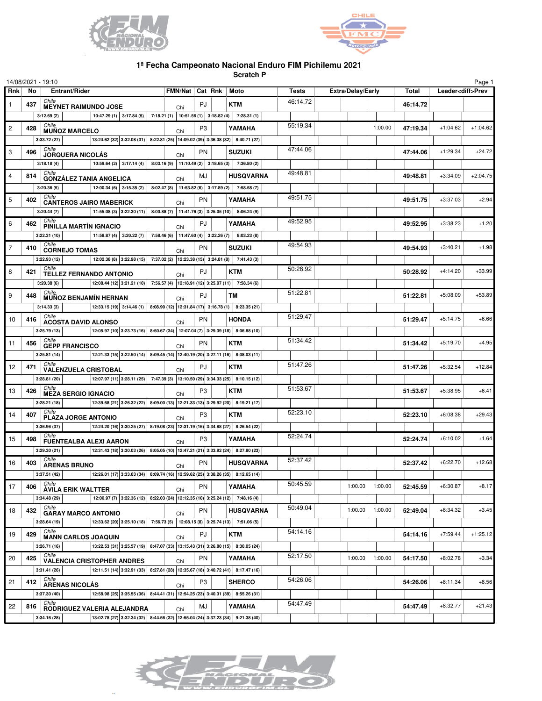



## **1ª Fecha Campeonato Nacional Enduro FIM Pichilemu 2021**

**Scratch P**

|                |                     | 14/08/2021 - 19:10                           |                                                                                                                                                                                                                                                                    |     |                          |  |                  |                          |         |         |                          |            | Page 1     |
|----------------|---------------------|----------------------------------------------|--------------------------------------------------------------------------------------------------------------------------------------------------------------------------------------------------------------------------------------------------------------------|-----|--------------------------|--|------------------|--------------------------|---------|---------|--------------------------|------------|------------|
| Rnk            | Entrant/Rider<br>No |                                              |                                                                                                                                                                                                                                                                    |     | FMN/Nat   Cat Rnk   Moto |  | <b>Tests</b>     | <b>Extra/Delay/Early</b> |         | Total   | Leader <diff>Prev</diff> |            |            |
| $\mathbf{1}$   | 437                 | Chile<br><b>MEYNET RAIMUNDO JOSE</b>         |                                                                                                                                                                                                                                                                    | Chi | PJ                       |  | <b>KTM</b>       | 46:14.72                 |         |         | 46:14.72                 |            |            |
|                |                     | 3:12.69(2)                                   | 10:47.29 (1) 3:17.84 (5) 7:18.21 (1) 10:51.56 (1) 3:18.82 (4)                                                                                                                                                                                                      |     |                          |  | 7:28.31(1)       |                          |         |         |                          |            |            |
| $\overline{c}$ | 428                 | Chile<br><b>MUÑOZ MARCELO</b>                |                                                                                                                                                                                                                                                                    | Chi | P3                       |  | YAMAHA           | 55:19.34                 |         | 1:00.00 | 47:19.34                 | $+1:04.62$ | $+1:04.62$ |
|                |                     | 3:33.72(27)                                  | 13:24.62 (32) 3:32.08 (31) 8:22.81 (25) 14:09.02 (39) 3:36.38 (32) 8:40.71 (27)                                                                                                                                                                                    |     |                          |  |                  |                          |         |         |                          |            |            |
| 3              | 496                 | Chile<br><b>JORQUERA NICOLÁS</b>             |                                                                                                                                                                                                                                                                    | Chi | <b>PN</b>                |  | <b>SUZUKI</b>    | 47:44.06                 |         |         | 47:44.06                 | $+1:29.34$ | $+24.72$   |
|                |                     | 3:18.18(4)                                   | 10:59.64 (2) 3:17.14 (4) 8:03.16 (9) 11:10.49 (2) 3:18.65 (3) 7:36.80 (2)                                                                                                                                                                                          |     |                          |  |                  |                          |         |         |                          |            |            |
| $\overline{4}$ | 814                 | Chile<br><b>GONZÁLEZ TANIA ANGELICA</b>      |                                                                                                                                                                                                                                                                    | Chi | MJ                       |  | <b>HUSQVARNA</b> | 49:48.81                 |         |         | 49:48.81                 | $+3:34.09$ | $+2:04.75$ |
|                |                     | 3:20.36(5)                                   | 12:00.34 (6) 3:15.35 (2) 8:02.47 (8) 11:53.82 (6) 3:17.89 (2) 7:58.58 (7)                                                                                                                                                                                          |     |                          |  |                  |                          |         |         |                          |            |            |
| 5              | 402                 | Chile                                        |                                                                                                                                                                                                                                                                    |     | <b>PN</b>                |  | YAMAHA           | 49:51.75                 |         |         | 49:51.75                 | $+3:37.03$ | $+2.94$    |
|                |                     | <b>CANTEROS JAIRO MABERICK</b><br>3:20.44(7) | 11:55.08 (3) 3:22.30 (11) 8:00.88 (7) 11:41.76 (3) 3:25.05 (10) 8:06.24 (9)                                                                                                                                                                                        | Chi |                          |  |                  |                          |         |         |                          |            |            |
| 6              | 462                 | Chile                                        |                                                                                                                                                                                                                                                                    |     | PJ                       |  | YAMAHA           | 49:52.95                 |         |         | 49:52.95                 | $+3:38.23$ | $+1.20$    |
|                |                     | PINILLA MARTÍN IGNACIO<br>3:22.31(10)        | 11:58.87 (4) 3:20.22 (7) 7:58.46 (6) 11:47.60 (4) 3:22.26 (7) 8:03.23 (8)                                                                                                                                                                                          | Chi |                          |  |                  |                          |         |         |                          |            |            |
| $\overline{7}$ | 410                 | Chile                                        |                                                                                                                                                                                                                                                                    |     | <b>PN</b>                |  | <b>SUZUKI</b>    | 49:54.93                 |         |         | 49:54.93                 | $+3:40.21$ | $+1.98$    |
|                |                     | <b>CORNEJO TOMAS</b><br>3:22.93(12)          | 12:02.38 (8) 3:22.98 (15) 7:37.02 (2) 12:23.38 (15) 3:24.81 (8) 7:41.43 (3)                                                                                                                                                                                        | Chi |                          |  |                  |                          |         |         |                          |            |            |
|                |                     | Chile                                        |                                                                                                                                                                                                                                                                    |     |                          |  |                  | 50:28.92                 |         |         |                          |            |            |
| 8              | 421                 | <b>TELLEZ FERNANDO ANTONIO</b>               |                                                                                                                                                                                                                                                                    | Chi | PJ                       |  | <b>KTM</b>       |                          |         |         | 50:28.92                 | $+4:14.20$ | $+33.99$   |
|                |                     | 3:20.38(6)<br>Chile                          | 12:08.44 (12) 3:21.21 (10) 7:56.57 (4) 12:18.91 (12) 3:25.07 (11) 7:58.34 (6)                                                                                                                                                                                      |     |                          |  |                  | 51:22.81                 |         |         |                          |            |            |
| 9              | 448                 | <b>MUÑOZ BENJAMÍN HERNAN</b>                 |                                                                                                                                                                                                                                                                    | Chi | PJ                       |  | <b>TM</b>        |                          |         |         | 51:22.81                 | $+5:08.09$ | $+53.89$   |
|                |                     | 3:14.33(3)                                   | $\vert$ 12:33.15 (19) 3:14.46 (1) 8:08.90 (12) 12:31.84 (17) 3:16.78 (1) 8:23.35 (21)                                                                                                                                                                              |     |                          |  |                  |                          |         |         |                          |            |            |
| 10             | 416                 | Chile<br><b>ACOSTA DAVID ALONSO</b>          |                                                                                                                                                                                                                                                                    | Chi | <b>PN</b>                |  | <b>HONDA</b>     | 51:29.47                 |         |         | 51:29.47                 | $+5:14.75$ | $+6.66$    |
|                |                     | 3:25.79(13)                                  | 12:05.97 (10) 3:23.73 (16) 8:50.67 (34) 12:07.04 (7) 3:29.39 (18) 8:06.88 (10)                                                                                                                                                                                     |     |                          |  |                  |                          |         |         |                          |            |            |
| 11             | 456                 | Chile<br><b>GEPP FRANCISCO</b>               |                                                                                                                                                                                                                                                                    | Chi | <b>PN</b>                |  | <b>KTM</b>       | 51:34.42                 |         |         | 51:34.42                 | $+5:19.70$ | $+4.95$    |
|                |                     | 3:25.81(14)                                  | 12:21.33 (15) 3:22.50 (14) 8:09.45 (14) 12:40.19 (20) 3:27.11 (16) 8:08.03 (11)                                                                                                                                                                                    |     |                          |  |                  |                          |         |         |                          |            |            |
| 12             | 471                 | Chile<br><b>VALENZUELA CRISTOBAL</b>         |                                                                                                                                                                                                                                                                    | Chi | PJ                       |  | <b>KTM</b>       | 51:47.26                 |         |         | 51:47.26                 | $+5:32.54$ | $+12.84$   |
|                |                     | 3:28.81(20)                                  | $\boxed{12:07.97(11)\ 3:28.11(25)\ 7:47.39(3)\ 13:10.50(29)\ 3:34.33(25)\ 8:10.15(12)}$                                                                                                                                                                            |     |                          |  |                  |                          |         |         |                          |            |            |
| 13             | 426                 | Chile<br><b>MEZA SERGIO IGNACIO</b>          |                                                                                                                                                                                                                                                                    | Chi | P3                       |  | <b>KTM</b>       | 51:53.67                 |         |         | 51:53.67                 | $+5:38.95$ | $+6.41$    |
|                |                     | 3:28.21(18)                                  | 12:39.68 (21) 3:26.32 (22) 8:09.00 (13) 12:21.33 (13) 3:29.92 (20) 8:19.21 (17)                                                                                                                                                                                    |     |                          |  |                  |                          |         |         |                          |            |            |
| 14             | 407                 | Chile<br>PLAZA JORGE ANTONIO                 |                                                                                                                                                                                                                                                                    | Chi | P3                       |  | <b>KTM</b>       | 52:23.10                 |         |         | 52:23.10                 | $+6:08.38$ | $+29.43$   |
|                |                     | 3:36.96 (37)                                 | $\boxed{12:24.20(16)$ 3:30.25 (27) 8:19.08 (23) 12:31.19 (16) 3:34.88 (27) 8:26.54 (22)                                                                                                                                                                            |     |                          |  |                  |                          |         |         |                          |            |            |
| 15             | 498                 | Chile<br><b>FUENTEALBA ALEXI AARON</b>       |                                                                                                                                                                                                                                                                    | Chi | P <sub>3</sub>           |  | YAMAHA           | 52:24.74                 |         |         | 52:24.74                 | $+6:10.02$ | $+1.64$    |
|                |                     | 3:29.30(21)                                  | $\vert$ 12:31.43 (18) 3:30.03 (26) 8:05.05 (10) 12:47.21 (21) 3:33.92 (24) 8:27.80 (23)                                                                                                                                                                            |     |                          |  |                  |                          |         |         |                          |            |            |
| 16             | 403                 | Chile                                        |                                                                                                                                                                                                                                                                    |     | <b>PN</b>                |  | <b>HUSQVARNA</b> | 52:37.42                 |         |         | 52:37.42                 | $+6:22.70$ | $+12.68$   |
|                |                     | <b>ARENAS BRUNO</b><br>3:37.51(42)           | $\boxed{12:26.01\ (17)\ 3:33.63\ (34)\ 8:09.74\ (16)\ 12:59.62\ (25)\ 3:38.26\ (35)\ 8:12.65\ (14)\ 1:12.66\ (15)\ 1:12.66\ (16)\ 1:12.67\ (17)\ 1:12.68\ (19)\ 1:12.69\ (10)\ 1:12.69\ (10)\ 1:12.69\ (11)\ 1:12.69\ (12)\ 1:12.69\ (13)\ 1:12.69\ (14)\ 1:12.69$ | Chi |                          |  |                  |                          |         |         |                          |            |            |
| 17             | 406                 | Çhile                                        |                                                                                                                                                                                                                                                                    |     | <b>PN</b>                |  | YAMAHA           | 50:45.59                 | 1:00.00 | 1:00.00 | 52:45.59                 | $+6:30.87$ | $+8.17$    |
|                |                     | <b>ÁVILA ERIK WALTTER</b><br>3:34.48 (29)    | 12:00.97 (7) 3:22.36 (12) 8:22.03 (24) 12:12.35 (10) 3:25.24 (12) 7:48.16 (4)                                                                                                                                                                                      | Chi |                          |  |                  |                          |         |         |                          |            |            |
| 18             | 432                 | Chile                                        |                                                                                                                                                                                                                                                                    |     | PN                       |  | <b>HUSQVARNA</b> | 50:49.04                 | 1:00.00 | 1:00.00 | 52:49.04                 | $+6:34.32$ | $+3.45$    |
|                |                     | <b>GARAY MARCO ANTONIO</b><br>3:28.64(19)    | 12:33.62 (20) 3:25.10 (18) 7:56.73 (5) 12:08.15 (8) 3:25.74 (13) 7:51.06 (5)                                                                                                                                                                                       | Chi |                          |  |                  |                          |         |         |                          |            |            |
|                |                     | Chile                                        |                                                                                                                                                                                                                                                                    |     |                          |  |                  | 54:14.16                 |         |         |                          |            | $+1:25.12$ |
| 19             | 429                 | <b>MANN CARLOS JOAQUIN</b>                   |                                                                                                                                                                                                                                                                    | Chi | PJ                       |  | <b>KTM</b>       |                          |         |         | 54:14.16                 | $+7:59.44$ |            |
|                |                     | 3:26.71(16)<br>Chile                         | 13:22.53 (31) 3:25.57 (19) 8:47.07 (33) 13:15.43 (31) 3:26.80 (15) 8:30.05 (24)                                                                                                                                                                                    |     |                          |  |                  | 52:17.50                 |         |         |                          |            |            |
| 20             | 425                 |                                              | <b>VALENCIA CRISTOPHER ANDRES</b>                                                                                                                                                                                                                                  | Chi | <b>PN</b>                |  | YAMAHA           |                          | 1:00.00 | 1:00.00 | 54:17.50                 | $+8:02.78$ | $+3.34$    |
|                |                     | 3:31.41(26)<br>Chile                         | 12:11.51 (14) 3:32.91 (33) 8:27.81 (28) 12:35.67 (18) 3:40.72 (41) 8:17.47 (16)                                                                                                                                                                                    |     |                          |  |                  |                          |         |         |                          |            |            |
| 21             | 412                 | <b>ARENAS NICOLÁS</b>                        |                                                                                                                                                                                                                                                                    | Chi | P <sub>3</sub>           |  | <b>SHERCO</b>    | 54:26.06                 |         |         | 54:26.06                 | $+8:11.34$ | $+8.56$    |
|                |                     | 3:37.30 (40)                                 | 12:58.98 (25) 3:35.55 (36) 8:44.41 (31) 12:54.25 (23) 3:40.31 (39) 8:55.26 (31)                                                                                                                                                                                    |     |                          |  |                  |                          |         |         |                          |            |            |
| 22             | 816                 | Chile                                        | RODRIGUEZ VALERIA ALEJANDRA                                                                                                                                                                                                                                        | Chi | MJ                       |  | YAMAHA           | 54:47.49                 |         |         | 54:47.49                 | $+8:32.77$ | $+21.43$   |
|                |                     | 3:34.16 (28)                                 | 13:02.78 (27) 3:32.34 (32) 8:44.56 (32) 12:55.04 (24) 3:37.23 (34) 9:21.38 (40)                                                                                                                                                                                    |     |                          |  |                  |                          |         |         |                          |            |            |

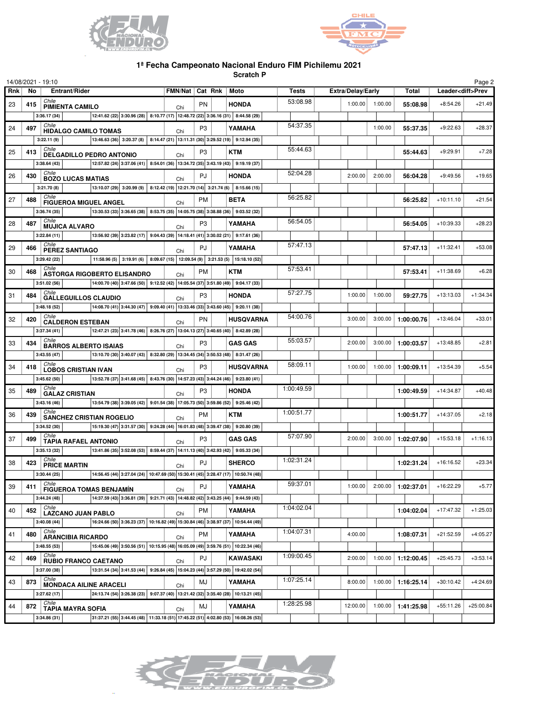



## **1ª Fecha Campeonato Nacional Enduro FIM Pichilemu 2021**

**Scratch P**

|     |     | 14/08/2021 - 19:10                                                                                                                                                                                                                  |     |                          |                  |              |                          |                   |              |                          | Page 2      |
|-----|-----|-------------------------------------------------------------------------------------------------------------------------------------------------------------------------------------------------------------------------------------|-----|--------------------------|------------------|--------------|--------------------------|-------------------|--------------|--------------------------|-------------|
| Rnk | No  | Entrant/Rider                                                                                                                                                                                                                       |     | FMN/Nat   Cat Rnk   Moto |                  | <b>Tests</b> | <b>Extra/Delay/Early</b> |                   | <b>Total</b> | Leader <diff>Prev</diff> |             |
| 23  | 415 | Chile<br><b>PIMIENTA CAMILO</b>                                                                                                                                                                                                     | Chi | <b>PN</b>                | <b>HONDA</b>     | 53:08.98     |                          | $1:00.00$ 1:00.00 | 55:08.98     | $+8:54.26$               | $+21.49$    |
|     |     | $\vert$ 12:41.62 (22) $\vert$ 3:30.96 (28) $\vert$ 8:10.77 (17) $\vert$ 12:48.72 (22) $\vert$ 3:36.16 (31) $\vert$ 8:44.58 (29)<br>3:36.17(34)                                                                                      |     |                          |                  |              |                          |                   |              |                          |             |
| 24  | 497 | Chile<br><b>HIDALGO CAMILO TOMAS</b>                                                                                                                                                                                                | Chi | P <sub>3</sub>           | YAMAHA           | 54:37.35     |                          | 1:00.00           | 55:37.35     | $+9:22.63$               | $+28.37$    |
|     |     | $\vert$ 13:46.63 (36) 3:20.37 (8) 8:14.47 (21) 13:11.31 (30) 3:29.52 (19) 9:12.94 (35)<br>3:22.11(9)                                                                                                                                |     |                          |                  |              |                          |                   |              |                          |             |
| 25  | 413 | Chile<br>DELGADILLO PEDRO ANTONIO                                                                                                                                                                                                   |     | P <sub>3</sub>           | <b>KTM</b>       | 55:44.63     |                          |                   | 55:44.63     | $+9:29.91$               | $+7.28$     |
|     |     | $\vert$ 12:57.82 (24) $\vert$ 3:37.06 (41) $\vert$ 8:54.01 (36) $\vert$ 13:34.72 (35) $\vert$ 3:43.19 (43) $\vert$ 9:19.19 (37)<br>3:38.64(43)                                                                                      | Chi |                          |                  |              |                          |                   |              |                          |             |
| 26  | 430 | Chile                                                                                                                                                                                                                               |     | PJ                       | <b>HONDA</b>     | 52:04.28     | 2:00.00                  | 2:00.00           | 56:04.28     | $+9:49.56$               | $+19.65$    |
|     |     | <b>BOZO LUCAS MATIAS</b><br>$\vert$ 13:10.07 (29) 3:20.99 (9) 8:12.42 (19) 12:21.70 (14) 3:21.74 (6) 8:15.66 (15)<br>3:21.70(8)                                                                                                     | Chi |                          |                  |              |                          |                   |              |                          |             |
| 27  | 488 |                                                                                                                                                                                                                                     |     | <b>PM</b>                | <b>BETA</b>      | 56:25.82     |                          |                   | 56:25.82     | $+10:11.10$              | $+21.54$    |
|     |     | Chile<br>FIGUEROA MIGUEL ANGEL<br>13:30.53 (33) 3:36.65 (38) 8:53.75 (35) 14:05.75 (38) 3:38.88 (36) 9:03.52 (32)                                                                                                                   | Chi |                          |                  |              |                          |                   |              |                          |             |
|     |     | 3:36.74(35)<br>Chile                                                                                                                                                                                                                |     |                          |                  | 56:54.05     |                          |                   |              |                          |             |
| 28  | 487 | <b>MUJICA ALVARO</b>                                                                                                                                                                                                                | Chi | P <sub>3</sub>           | YAMAHA           |              |                          |                   | 56:54.05     | $+10:39.33$              | $+28.23$    |
|     |     | 13:56.92 (39) 3:23.82 (17) 9:04.43 (39) 14:18.41 (41) 3:30.02 (21) 9:17.61 (36)<br>3:22.84(11)                                                                                                                                      |     |                          |                  |              |                          |                   |              |                          |             |
| 29  | 466 | Chile<br>PEREZ SANTIAGO                                                                                                                                                                                                             | Chi | PJ                       | YAMAHA           | 57:47.13     |                          |                   | 57:47.13     | $+11:32.41$              | $+53.08$    |
|     |     | 11:58.96 (5) 3:19.91 (6) 8:09.67 (15) 12:09.54 (9) 3:21.53 (5) 15:18.10 (52)<br>3:29.42 (22)                                                                                                                                        |     |                          |                  |              |                          |                   |              |                          |             |
| 30  | 468 | Chile<br><b>ASTORGA RIGOBERTO ELISANDRO</b>                                                                                                                                                                                         | Chi | <b>PM</b>                | <b>KTM</b>       | 57:53.41     |                          |                   | 57:53.41     | $+11:38.69$              | $+6.28$     |
|     |     | 14:00.70 (40) 3:47.66 (50) 9:12.52 (42) 14:05.54 (37) 3:51.80 (49) 9:04.17 (33)<br>3:51.02(56)                                                                                                                                      |     |                          |                  |              |                          |                   |              |                          |             |
| 31  | 484 | Chile<br><b>GALLEGUILLOS CLAUDIO</b>                                                                                                                                                                                                | Chi | P3                       | <b>HONDA</b>     | 57:27.75     | 1:00.00                  | 1:00.00           | 59:27.75     | $+13:13.03$              | $+1:34.34$  |
|     |     | $ 14.08.70(41) 3.44.30(47) 9.09.40(41) 13.33.46(33) 3.43.60(45) 9.20.11(38) $<br>3:48.18(52)                                                                                                                                        |     |                          |                  |              |                          |                   |              |                          |             |
| 32  | 420 | Chile<br><b>CALDERON ESTEBAN</b>                                                                                                                                                                                                    | Chi | <b>PN</b>                | <b>HUSQVARNA</b> | 54:00.76     | 3:00.00                  | 3:00.00           | 1:00:00.76   | $+13:46.04$              | $+33.01$    |
|     |     | 12:47.21 (23) 3:41.78 (46) 8:26.76 (27) 13:04.13 (27) 3:40.65 (40) 8:42.89 (28)<br>3:37.34(41)                                                                                                                                      |     |                          |                  |              |                          |                   |              |                          |             |
| 33  | 434 | Chile                                                                                                                                                                                                                               |     | P <sub>3</sub>           | <b>GAS GAS</b>   | 55:03.57     | 2:00.00                  | 3:00.00           | 1:00:03.57   | $+13:48.85$              | $+2.81$     |
|     |     | <b>BARROS ALBERTO ISAIAS</b><br>$\vert$ 13:10.70 (30) 3:40.07 (43) 8:32.80 (29) 13:34.45 (34) 3:50.53 (48) 8:31.47 (26)<br>3:43.55(47)                                                                                              | Chi |                          |                  |              |                          |                   |              |                          |             |
| 34  | 418 | Chile                                                                                                                                                                                                                               |     | P <sub>3</sub>           | <b>HUSQVARNA</b> | 58:09.11     | 1:00.00                  | 1:00.00           | 1:00:09.11   | $+13:54.39$              | $+5.54$     |
|     |     | <b>LOBOS CRISTIAN IVAN</b><br>$\boxed{13:52.78(37)$ 3:41.68 (45) 8:43.76 (30) 14:57.23 (43) 3:44.24 (46) 9:23.80 (41)<br>3:45.62(50)                                                                                                | Chi |                          |                  |              |                          |                   |              |                          |             |
|     |     | Chile                                                                                                                                                                                                                               |     |                          |                  | 1:00:49.59   |                          |                   |              |                          |             |
| 35  | 489 | <b>GALAZ CRISTIAN</b>                                                                                                                                                                                                               | Chi | P <sub>3</sub>           | <b>HONDA</b>     |              |                          |                   | 1:00:49.59   | $+14:34.87$              | $+40.48$    |
|     |     | 13:54.79 (38) 3:39.05 (42) 9:01.54 (38) 17:05.73 (50) 3:59.86 (52) 9:25.46 (42)<br>3:43.16(46)<br>Chile                                                                                                                             |     |                          |                  |              |                          |                   |              |                          |             |
| 36  | 439 | <b>SANCHEZ CRISTIAN ROGELIO</b>                                                                                                                                                                                                     | Chi | <b>PM</b>                | <b>KTM</b>       | 1:00:51.77   |                          |                   | 1:00:51.77   | $+14:37.05$              | $+2.18$     |
|     |     | 15:19.30 (47) 3:31.57 (30) 9:24.28 (44) 16:01.83 (48) 3:39.47 (38) 9:20.80 (39)<br>3:34.52 (30)                                                                                                                                     |     |                          |                  |              |                          |                   |              |                          |             |
| 37  | 499 | Chile<br><b>TAPIA RAFAEL ANTONIO</b>                                                                                                                                                                                                | Chi | P <sub>3</sub>           | <b>GAS GAS</b>   | 57:07.90     | 2:00.00                  | 3:00.00           | 1:02:07.90   | $+15:53.18$              | $+1:16.13$  |
|     |     | $\vert$ 13:41.86 (35) 3:52.08 (53) 8:59.44 (37) 14:11.13 (40) 3:42.93 (42) 9:05.33 (34)<br>3:35.13(32)                                                                                                                              |     |                          |                  |              |                          |                   |              |                          |             |
| 38  | 423 | Chile<br><b>PRICE MARTIN</b>                                                                                                                                                                                                        | Chi | PJ                       | <b>SHERCO</b>    | 1:02:31.24   |                          |                   | 1:02:31.24   | $+16:16.52$              | $+23.34$    |
|     |     | $\boxed{ \left  14:56.45 \left(44\right) \right  3:27.04 \left(24\right) \left  10:47.69 \left(50\right) \right  15:30.41 \left(45\right) \left  3:28.47 \left(17\right) \right  10:50.74 \left(48\right) \right  }$<br>3:30.44(25) |     |                          |                  |              |                          |                   |              |                          |             |
| 39  | 411 | Chile<br><b>FIGUEROA TOMAS BENJAMÍN</b>                                                                                                                                                                                             | Chi | PJ                       | YAMAHA           | 59:37.01     | 1:00.00                  | 2:00.00           | 1:02:37.01   | $+16:22.29$              | $+5.77$     |
|     |     | 14:37.59 (43) 3:36.81 (39) 9:21.71 (43) 14:48.82 (42) 3:43.25 (44) 9:44.59 (43)<br>3:44.24(48)                                                                                                                                      |     |                          |                  |              |                          |                   |              |                          |             |
| 40  | 452 | Chile                                                                                                                                                                                                                               |     | <b>PM</b>                | YAMAHA           | 1:04:02.04   |                          |                   | 1:04:02.04   | $+17:47.32$              | $+1:25.03$  |
|     |     | <b>LAZCANO JUAN PABLO</b><br>16:24.66 (50) 3:36.23 (37) 10:16.82 (49) 15:30.84 (46) 3:38.97 (37) 10:54.44 (49)<br>3:40.08(44)                                                                                                       | Chi |                          |                  |              |                          |                   |              |                          |             |
|     | 480 | Chile                                                                                                                                                                                                                               |     | <b>PM</b>                | YAMAHA           | 1:04:07.31   | 4:00.00                  |                   | 1:08:07.31   | $+21:52.59$              | $+4:05.27$  |
| 41  |     | <b>ARANCIBIA RICARDO</b>                                                                                                                                                                                                            | Chi |                          |                  |              |                          |                   |              |                          |             |
|     |     | 15:45.06 (49) 3:50.56 (51) 10:15.95 (48) 16:05.09 (49) 3:59.76 (51) 10:22.34 (46)<br>3:48.55(53)<br>Chile                                                                                                                           |     |                          |                  | 1:09:00.45   |                          |                   |              |                          |             |
| 42  | 469 | <b>RUBIO FRANCO CAETANO</b>                                                                                                                                                                                                         | Chi | PJ                       | KAWASAKI         |              | 2:00.00                  | 1:00.00           | 1:12:00.45   | $+25:45.73$              | $+3:53.14$  |
|     |     | 13:31.54 (34) 3:41.53 (44) 9:26.84 (45) 15:04.23 (44) 3:57.29 (50) 19:42.02 (54)<br>3:37.00 (38)                                                                                                                                    |     |                          |                  |              |                          |                   |              |                          |             |
| 43  | 873 | Chile<br><b>MONDACA AILINE ARACELI</b>                                                                                                                                                                                              | Chi | MJ                       | YAMAHA           | 1:07:25.14   | 8:00.00                  | 1:00.00           | 1:16:25.14   | $+30:10.42$              | $+4:24.69$  |
|     |     | 24:13.74 (54) 3:26.38 (23) 9:07.37 (40) 13:21.42 (32) 3:35.40 (28) 10:13.21 (45)<br>3:27.62(17)                                                                                                                                     |     |                          |                  |              |                          |                   |              |                          |             |
| 44  | 872 | Chile<br><b>TAPIA MAYRA SOFIA</b>                                                                                                                                                                                                   | Chi | MJ                       | YAMAHA           | 1:28:25.98   | 12:00.00                 | 1:00.00           | 1:41:25.98   | $+55:11.26$              | $+25:00.84$ |
|     |     | 31:37.21 (55) 3:44.45 (48) 11:33.18 (51) 17:45.22 (51) 4:02.80 (53) 16:08.26 (53)<br>3:34.86(31)                                                                                                                                    |     |                          |                  |              |                          |                   |              |                          |             |



 $\overline{a}$